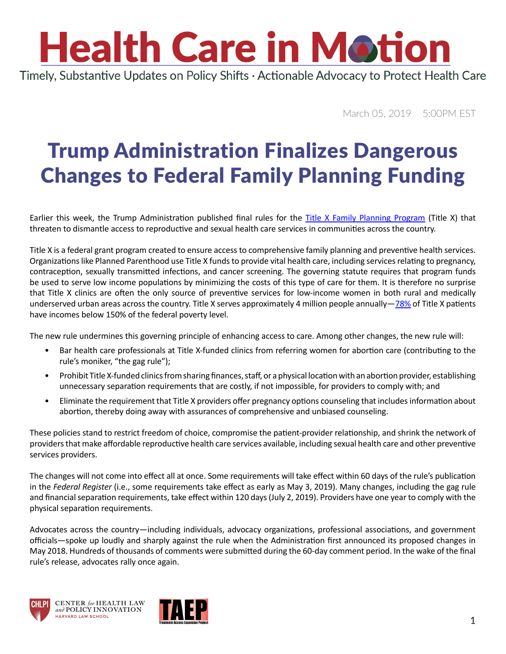## **Health Care in Motion**

Timely, Substantive Updates on Policy Shifts · Actionable Advocacy to Protect Health Care

March 05, 2019 5:00PM EST

## Trump Administration Finalizes Dangerous Changes to Federal Family Planning Funding

Earlier this week, the Trump Administration published final rules for the [Title X Family Planning Program](https://www.federalregister.gov/documents/2019/03/04/2019-03461/compliance-with-statutory-program-integrity-requirements) (Title X) that threaten to dismantle access to reproductive and sexual health care services in communities across the country.

Title X is a federal grant program created to ensure access to comprehensive family planning and preventive health services. Organizations like Planned Parenthood use Title X funds to provide vital health care, including services relating to pregnancy, contraception, sexually transmitted infections, and cancer screening. The governing statute requires that program funds be used to serve low income populations by minimizing the costs of this type of care for them. It is therefore no surprise that Title X clinics are often the only source of preventive services for low-income women in both rural and medically underserved urban areas across the country. Title X serves approximately 4 million people annually— $78\%$  of Title X patients have incomes below 150% of the federal poverty level.

The new rule undermines this governing principle of enhancing access to care. Among other changes, the new rule will:

- Bar health care professionals at Title X-funded clinics from referring women for abortion care (contributing to the rule's moniker, "the gag rule");
- Prohibit Title X-funded clinics from sharing finances, staff, or a physical location with an abortion provider, establishing unnecessary separation requirements that are costly, if not impossible, for providers to comply with; and
- Eliminate the requirement that Title X providers offer pregnancy options counseling that includes information about abortion, thereby doing away with assurances of comprehensive and unbiased counseling.

These policies stand to restrict freedom of choice, compromise the patient-provider relationship, and shrink the network of providers that make affordable reproductive health care services available, including sexual health care and other preventive services providers.

The changes will not come into effect all at once. Some requirements will take effect within 60 days of the rule's publication in the *Federal Register* (i.e., some requirements take effect as early as May 3, 2019). Many changes, including the gag rule and financial separation requirements, take effect within 120 days (July 2, 2019). Providers have one year to comply with the physical separation requirements.

Advocates across the country—including individuals, advocacy organizations, professional associations, and government officials—spoke up loudly and sharply against the rule when the Administration first announced its proposed changes in May 2018. Hundreds of thousands of comments were submitted during the 60-day comment period. In the wake of the final rule's release, advocates rally once again.